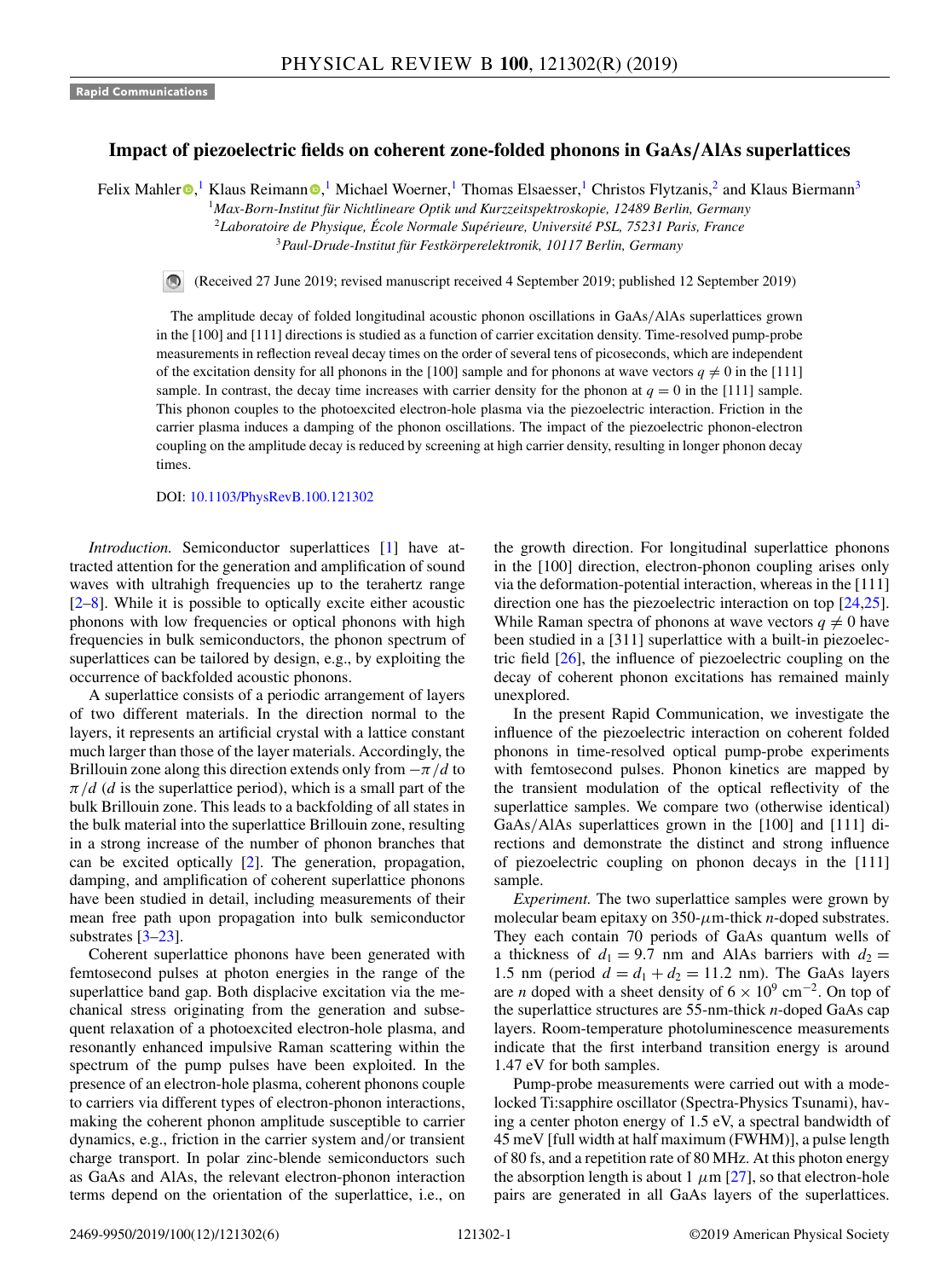## **Impact of piezoelectric fields on coherent zone-folded phonons in GaAs***/***AlAs superlattices**

Felix Mahle[r](https://orcid.org/0000-0001-5656-6431) <sup>®</sup>[,](https://orcid.org/0000-0003-4290-0659)<sup>1</sup> Klaus Reimann <sup>®</sup>,<sup>1</sup> Michael Woerner,<sup>1</sup> Thomas Elsaesser,<sup>1</sup> Christos Flytzanis,<sup>2</sup> and Klaus Biermann<sup>3</sup>

<sup>1</sup>*Max-Born-Institut für Nichtlineare Optik und Kurzzeitspektroskopie, 12489 Berlin, Germany*

<sup>2</sup>*Laboratoire de Physique, École Normale Supérieure, Université PSL, 75231 Paris, France* <sup>3</sup>*Paul-Drude-Institut für Festkörperelektronik, 10117 Berlin, Germany*

(Received 27 June 2019; revised manuscript received 4 September 2019; published 12 September 2019)

The amplitude decay of folded longitudinal acoustic phonon oscillations in GaAs/AlAs superlattices grown in the [100] and [111] directions is studied as a function of carrier excitation density. Time-resolved pump-probe measurements in reflection reveal decay times on the order of several tens of picoseconds, which are independent of the excitation density for all phonons in the [100] sample and for phonons at wave vectors  $q \neq 0$  in the [111] sample. In contrast, the decay time increases with carrier density for the phonon at  $q = 0$  in the [111] sample. This phonon couples to the photoexcited electron-hole plasma via the piezoelectric interaction. Friction in the carrier plasma induces a damping of the phonon oscillations. The impact of the piezoelectric phonon-electron coupling on the amplitude decay is reduced by screening at high carrier density, resulting in longer phonon decay times.

## DOI: [10.1103/PhysRevB.100.121302](https://doi.org/10.1103/PhysRevB.100.121302)

*Introduction.* Semiconductor superlattices [\[1\]](#page-3-0) have attracted attention for the generation and amplification of sound waves with ultrahigh frequencies up to the terahertz range  $[2-8]$  $[2-8]$ . While it is possible to optically excite either acoustic phonons with low frequencies or optical phonons with high frequencies in bulk semiconductors, the phonon spectrum of superlattices can be tailored by design, e.g., by exploiting the occurrence of backfolded acoustic phonons.

A superlattice consists of a periodic arrangement of layers of two different materials. In the direction normal to the layers, it represents an artificial crystal with a lattice constant much larger than those of the layer materials. Accordingly, the Brillouin zone along this direction extends only from  $-\pi/d$  to  $\pi/d$  (*d* is the superlattice period), which is a small part of the bulk Brillouin zone. This leads to a backfolding of all states in the bulk material into the superlattice Brillouin zone, resulting in a strong increase of the number of phonon branches that can be excited optically [\[2\]](#page-3-0). The generation, propagation, damping, and amplification of coherent superlattice phonons have been studied in detail, including measurements of their mean free path upon propagation into bulk semiconductor substrates [\[3–23\]](#page-4-0).

Coherent superlattice phonons have been generated with femtosecond pulses at photon energies in the range of the superlattice band gap. Both displacive excitation via the mechanical stress originating from the generation and subsequent relaxation of a photoexcited electron-hole plasma, and resonantly enhanced impulsive Raman scattering within the spectrum of the pump pulses have been exploited. In the presence of an electron-hole plasma, coherent phonons couple to carriers via different types of electron-phonon interactions, making the coherent phonon amplitude susceptible to carrier dynamics, e.g., friction in the carrier system and/or transient charge transport. In polar zinc-blende semiconductors such as GaAs and AlAs, the relevant electron-phonon interaction terms depend on the orientation of the superlattice, i.e., on the growth direction. For longitudinal superlattice phonons in the [100] direction, electron-phonon coupling arises only via the deformation-potential interaction, whereas in the [111] direction one has the piezoelectric interaction on top [\[24,25\]](#page-4-0). While Raman spectra of phonons at wave vectors  $q \neq 0$  have been studied in a [311] superlattice with a built-in piezoelectric field [\[26\]](#page-4-0), the influence of piezoelectric coupling on the decay of coherent phonon excitations has remained mainly unexplored.

In the present Rapid Communication, we investigate the influence of the piezoelectric interaction on coherent folded phonons in time-resolved optical pump-probe experiments with femtosecond pulses. Phonon kinetics are mapped by the transient modulation of the optical reflectivity of the superlattice samples. We compare two (otherwise identical) GaAs/AlAs superlattices grown in the [100] and [111] directions and demonstrate the distinct and strong influence of piezoelectric coupling on phonon decays in the [111] sample.

*Experiment.* The two superlattice samples were grown by molecular beam epitaxy on  $350$ - $\mu$ m-thick *n*-doped substrates. They each contain 70 periods of GaAs quantum wells of a thickness of  $d_1 = 9.7$  nm and AlAs barriers with  $d_2 =$ 1.5 nm (period  $d = d_1 + d_2 = 11.2$  nm). The GaAs layers are *n* doped with a sheet density of  $6 \times 10^9$  cm<sup>-2</sup>. On top of the superlattice structures are 55-nm-thick *n*-doped GaAs cap layers. Room-temperature photoluminescence measurements indicate that the first interband transition energy is around 1.47 eV for both samples.

Pump-probe measurements were carried out with a modelocked Ti:sapphire oscillator (Spectra-Physics Tsunami), having a center photon energy of 1.5 eV, a spectral bandwidth of 45 meV [full width at half maximum (FWHM)], a pulse length of 80 fs, and a repetition rate of 80 MHz. At this photon energy the absorption length is about 1  $\mu$ m [\[27\]](#page-4-0), so that electron-hole pairs are generated in all GaAs layers of the superlattices.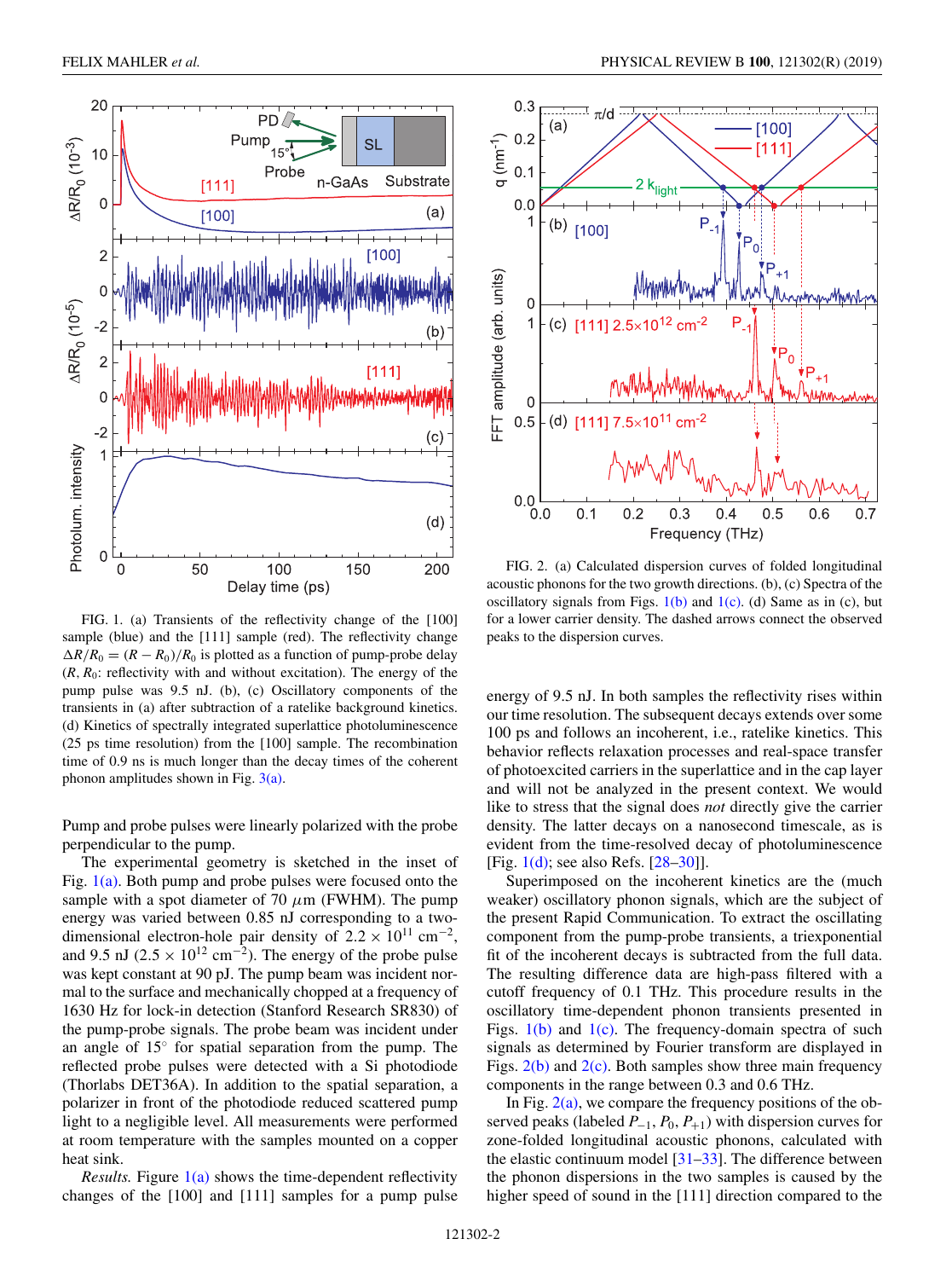<span id="page-1-0"></span>

FIG. 1. (a) Transients of the reflectivity change of the [100] sample (blue) and the [111] sample (red). The reflectivity change  $\Delta R/R_0 = (R - R_0)/R_0$  is plotted as a function of pump-probe delay  $(R, R_0:$  reflectivity with and without excitation). The energy of the pump pulse was 9.5 nJ. (b), (c) Oscillatory components of the transients in (a) after subtraction of a ratelike background kinetics. (d) Kinetics of spectrally integrated superlattice photoluminescence (25 ps time resolution) from the [100] sample. The recombination time of 0.9 ns is much longer than the decay times of the coherent phonon amplitudes shown in Fig.  $3(a)$ .

Pump and probe pulses were linearly polarized with the probe perpendicular to the pump.

The experimental geometry is sketched in the inset of Fig. 1(a). Both pump and probe pulses were focused onto the sample with a spot diameter of 70  $\mu$ m (FWHM). The pump energy was varied between 0.85 nJ corresponding to a twodimensional electron-hole pair density of  $2.2 \times 10^{11}$  cm<sup>-2</sup>, and 9.5 nJ ( $2.5 \times 10^{12}$  cm<sup>-2</sup>). The energy of the probe pulse was kept constant at 90 pJ. The pump beam was incident normal to the surface and mechanically chopped at a frequency of 1630 Hz for lock-in detection (Stanford Research SR830) of the pump-probe signals. The probe beam was incident under an angle of 15◦ for spatial separation from the pump. The reflected probe pulses were detected with a Si photodiode (Thorlabs DET36A). In addition to the spatial separation, a polarizer in front of the photodiode reduced scattered pump light to a negligible level. All measurements were performed at room temperature with the samples mounted on a copper heat sink.

*Results.* Figure 1(a) shows the time-dependent reflectivity changes of the [100] and [111] samples for a pump pulse



FIG. 2. (a) Calculated dispersion curves of folded longitudinal acoustic phonons for the two growth directions. (b), (c) Spectra of the oscillatory signals from Figs.  $1(b)$  and  $1(c)$ . (d) Same as in (c), but for a lower carrier density. The dashed arrows connect the observed peaks to the dispersion curves.

energy of 9.5 nJ. In both samples the reflectivity rises within our time resolution. The subsequent decays extends over some 100 ps and follows an incoherent, i.e., ratelike kinetics. This behavior reflects relaxation processes and real-space transfer of photoexcited carriers in the superlattice and in the cap layer and will not be analyzed in the present context. We would like to stress that the signal does *not* directly give the carrier density. The latter decays on a nanosecond timescale, as is evident from the time-resolved decay of photoluminescence [Fig.  $1(d)$ ; see also Refs. [\[28–30\]](#page-4-0)].

Superimposed on the incoherent kinetics are the (much weaker) oscillatory phonon signals, which are the subject of the present Rapid Communication. To extract the oscillating component from the pump-probe transients, a triexponential fit of the incoherent decays is subtracted from the full data. The resulting difference data are high-pass filtered with a cutoff frequency of 0.1 THz. This procedure results in the oscillatory time-dependent phonon transients presented in Figs.  $1(b)$  and  $1(c)$ . The frequency-domain spectra of such signals as determined by Fourier transform are displayed in Figs.  $2(b)$  and  $2(c)$ . Both samples show three main frequency components in the range between 0.3 and 0.6 THz.

In Fig.  $2(a)$ , we compare the frequency positions of the observed peaks (labeled  $P_{-1}$ ,  $P_0$ ,  $P_{+1}$ ) with dispersion curves for zone-folded longitudinal acoustic phonons, calculated with the elastic continuum model [\[31–33\]](#page-4-0). The difference between the phonon dispersions in the two samples is caused by the higher speed of sound in the [111] direction compared to the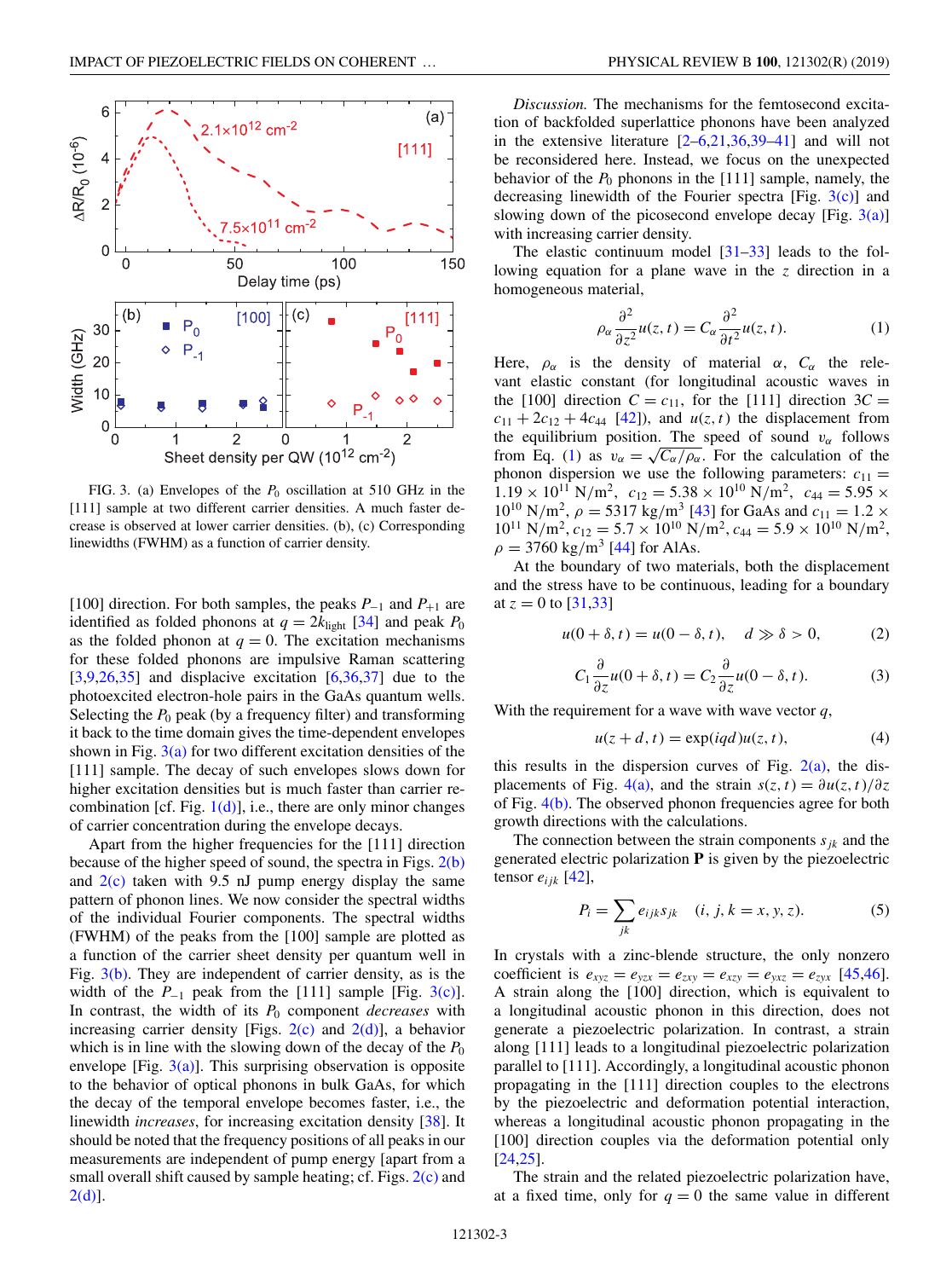<span id="page-2-0"></span>

FIG. 3. (a) Envelopes of the  $P_0$  oscillation at 510 GHz in the [111] sample at two different carrier densities. A much faster decrease is observed at lower carrier densities. (b), (c) Corresponding linewidths (FWHM) as a function of carrier density.

[100] direction. For both samples, the peaks *P*−<sup>1</sup> and *P*+<sup>1</sup> are identified as folded phonons at  $q = 2k_{\text{light}}$  [\[34\]](#page-4-0) and peak  $P_0$ as the folded phonon at  $q = 0$ . The excitation mechanisms for these folded phonons are impulsive Raman scattering  $[3,9,26,35]$  and displacive excitation  $[6,36,37]$  $[6,36,37]$  due to the photoexcited electron-hole pairs in the GaAs quantum wells. Selecting the  $P_0$  peak (by a frequency filter) and transforming it back to the time domain gives the time-dependent envelopes shown in Fig.  $3(a)$  for two different excitation densities of the [111] sample. The decay of such envelopes slows down for higher excitation densities but is much faster than carrier recombination [cf. Fig.  $1(d)$ ], i.e., there are only minor changes of carrier concentration during the envelope decays.

Apart from the higher frequencies for the [111] direction because of the higher speed of sound, the spectra in Figs.  $2(b)$ and  $2(c)$  taken with 9.5 nJ pump energy display the same pattern of phonon lines. We now consider the spectral widths of the individual Fourier components. The spectral widths (FWHM) of the peaks from the [100] sample are plotted as a function of the carrier sheet density per quantum well in Fig.  $3(b)$ . They are independent of carrier density, as is the width of the  $P_{-1}$  peak from the [111] sample [Fig. 3(c)]. In contrast, the width of its *P*<sup>0</sup> component *decreases* with increasing carrier density [Figs.  $2(c)$  and  $2(d)$ ], a behavior which is in line with the slowing down of the decay of the  $P_0$ envelope [Fig.  $3(a)$ ]. This surprising observation is opposite to the behavior of optical phonons in bulk GaAs, for which the decay of the temporal envelope becomes faster, i.e., the linewidth *increases*, for increasing excitation density [\[38\]](#page-5-0). It should be noted that the frequency positions of all peaks in our measurements are independent of pump energy [apart from a small overall shift caused by sample heating; cf. Figs. [2\(c\)](#page-1-0) and [2\(d\)\]](#page-1-0).

*Discussion.* The mechanisms for the femtosecond excitation of backfolded superlattice phonons have been analyzed in the extensive literature  $[2-6,21,36,39-41]$  $[2-6,21,36,39-41]$  $[2-6,21,36,39-41]$  and will not be reconsidered here. Instead, we focus on the unexpected behavior of the  $P_0$  phonons in the [111] sample, namely, the decreasing linewidth of the Fourier spectra [Fig.  $3(c)$ ] and slowing down of the picosecond envelope decay [Fig.  $3(a)$ ] with increasing carrier density.

The elastic continuum model [\[31–33\]](#page-4-0) leads to the following equation for a plane wave in the *z* direction in a homogeneous material,

$$
\rho_{\alpha} \frac{\partial^2}{\partial z^2} u(z, t) = C_{\alpha} \frac{\partial^2}{\partial t^2} u(z, t). \tag{1}
$$

Here,  $\rho_{\alpha}$  is the density of material  $\alpha$ ,  $C_{\alpha}$  the relevant elastic constant (for longitudinal acoustic waves in the [100] direction  $C = c_{11}$ , for the [111] direction  $3C =$  $c_{11} + 2c_{12} + 4c_{44}$  [\[42\]](#page-5-0)), and  $u(z, t)$  the displacement from the equilibrium position. The speed of sound  $v_\alpha$  follows from Eq. (1) as  $v_{\alpha} = \sqrt{C_{\alpha}/\rho_{\alpha}}$ . For the calculation of the phonon dispersion we use the following parameters:  $c_{11} =$  $1.19 \times 10^{11}$  N/m<sup>2</sup>,  $c_{12} = 5.38 \times 10^{10}$  N/m<sup>2</sup>,  $c_{44} = 5.95 \times$  $10^{10}$  N/m<sup>2</sup>,  $\rho = 5317$  kg/m<sup>3</sup> [\[43\]](#page-5-0) for GaAs and  $c_{11} = 1.2$  ×  $10^{11}$  N/m<sup>2</sup>,  $c_{12} = 5.7 \times 10^{10}$  N/m<sup>2</sup>,  $c_{44} = 5.9 \times 10^{10}$  N/m<sup>2</sup>,  $\rho = 3760 \text{ kg/m}^3$  [\[44\]](#page-5-0) for AlAs.

At the boundary of two materials, both the displacement and the stress have to be continuous, leading for a boundary at  $z = 0$  to [\[31,33\]](#page-4-0)

$$
u(0+\delta, t) = u(0-\delta, t), \quad d \gg \delta > 0,
$$
 (2)

$$
C_1 \frac{\partial}{\partial z} u(0 + \delta, t) = C_2 \frac{\partial}{\partial z} u(0 - \delta, t).
$$
 (3)

With the requirement for a wave with wave vector *q*,

$$
u(z + d, t) = \exp(iqd)u(z, t),
$$
\n(4)

this results in the dispersion curves of Fig.  $2(a)$ , the dis-placements of Fig. [4\(a\),](#page-3-0) and the strain  $s(z, t) = \partial u(z, t)/\partial z$ of Fig. [4\(b\).](#page-3-0) The observed phonon frequencies agree for both growth directions with the calculations.

The connection between the strain components  $s_{ik}$  and the generated electric polarization **P** is given by the piezoelectric tensor  $e_{ijk}$  [\[42\]](#page-5-0),

$$
P_i = \sum_{jk} e_{ijk} s_{jk} \quad (i, j, k = x, y, z).
$$
 (5)

In crystals with a zinc-blende structure, the only nonzero coefficient is  $e_{xyz} = e_{yzx} = e_{zxy} = e_{xzy} = e_{yxz} = e_{zxx}$  [\[45,46\]](#page-5-0). A strain along the [100] direction, which is equivalent to a longitudinal acoustic phonon in this direction, does not generate a piezoelectric polarization. In contrast, a strain along [111] leads to a longitudinal piezoelectric polarization parallel to [111]. Accordingly, a longitudinal acoustic phonon propagating in the [111] direction couples to the electrons by the piezoelectric and deformation potential interaction, whereas a longitudinal acoustic phonon propagating in the [100] direction couples via the deformation potential only [\[24,25\]](#page-4-0).

The strain and the related piezoelectric polarization have, at a fixed time, only for  $q = 0$  the same value in different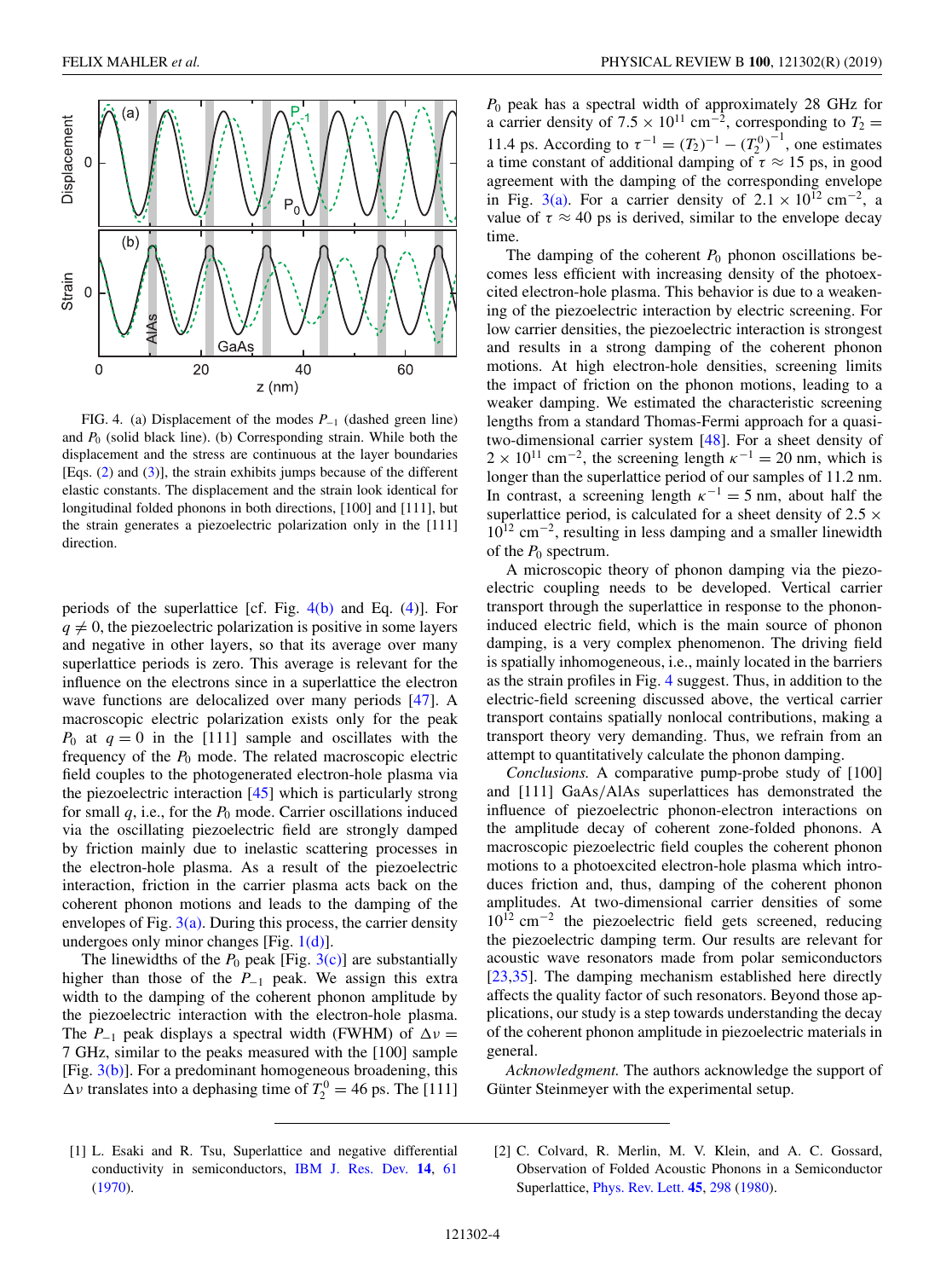<span id="page-3-0"></span>

FIG. 4. (a) Displacement of the modes *P*−<sup>1</sup> (dashed green line) and  $P_0$  (solid black line). (b) Corresponding strain. While both the displacement and the stress are continuous at the layer boundaries [Eqs. [\(2\)](#page-2-0) and [\(3\)](#page-2-0)], the strain exhibits jumps because of the different elastic constants. The displacement and the strain look identical for longitudinal folded phonons in both directions, [100] and [111], but the strain generates a piezoelectric polarization only in the [111] direction.

periods of the superlattice [cf. Fig. 4(b) and Eq. [\(4\)](#page-2-0)]. For  $q \neq 0$ , the piezoelectric polarization is positive in some layers and negative in other layers, so that its average over many superlattice periods is zero. This average is relevant for the influence on the electrons since in a superlattice the electron wave functions are delocalized over many periods [\[47\]](#page-5-0). A macroscopic electric polarization exists only for the peak  $P_0$  at  $q = 0$  in the [111] sample and oscillates with the frequency of the *P*<sup>0</sup> mode. The related macroscopic electric field couples to the photogenerated electron-hole plasma via the piezoelectric interaction [\[45\]](#page-5-0) which is particularly strong for small  $q$ , i.e., for the  $P_0$  mode. Carrier oscillations induced via the oscillating piezoelectric field are strongly damped by friction mainly due to inelastic scattering processes in the electron-hole plasma. As a result of the piezoelectric interaction, friction in the carrier plasma acts back on the coherent phonon motions and leads to the damping of the envelopes of Fig.  $3(a)$ . During this process, the carrier density undergoes only minor changes [Fig.  $1(d)$ ].

The linewidths of the  $P_0$  peak [Fig.  $3(c)$ ] are substantially higher than those of the *P*−<sup>1</sup> peak. We assign this extra width to the damping of the coherent phonon amplitude by the piezoelectric interaction with the electron-hole plasma. The  $P_{-1}$  peak displays a spectral width (FWHM) of  $\Delta v =$ 7 GHz, similar to the peaks measured with the [100] sample [Fig.  $3(b)$ ]. For a predominant homogeneous broadening, this  $\Delta v$  translates into a dephasing time of  $T_2^0 = 46$  ps. The [111]

*P*<sup>0</sup> peak has a spectral width of approximately 28 GHz for a carrier density of 7.5 × 10<sup>11</sup> cm<sup>-2</sup>, corresponding to  $T_2$  = 11.4 ps. According to  $\tau^{-1} = (T_2)^{-1} - (T_2^0)^{-1}$ , one estimates a time constant of additional damping of  $\tau \approx 15$  ps, in good agreement with the damping of the corresponding envelope in Fig. [3\(a\).](#page-2-0) For a carrier density of  $2.1 \times 10^{12}$  cm<sup>-2</sup>, a value of  $\tau \approx 40$  ps is derived, similar to the envelope decay time.

The damping of the coherent  $P_0$  phonon oscillations becomes less efficient with increasing density of the photoexcited electron-hole plasma. This behavior is due to a weakening of the piezoelectric interaction by electric screening. For low carrier densities, the piezoelectric interaction is strongest and results in a strong damping of the coherent phonon motions. At high electron-hole densities, screening limits the impact of friction on the phonon motions, leading to a weaker damping. We estimated the characteristic screening lengths from a standard Thomas-Fermi approach for a quasitwo-dimensional carrier system [\[48\]](#page-5-0). For a sheet density of  $2 \times 10^{11}$  cm<sup>-2</sup>, the screening length  $\kappa^{-1} = 20$  nm, which is longer than the superlattice period of our samples of 11.2 nm. In contrast, a screening length  $\kappa^{-1} = 5$  nm, about half the superlattice period, is calculated for a sheet density of  $2.5 \times$ 10<sup>12</sup> cm−2, resulting in less damping and a smaller linewidth of the  $P_0$  spectrum.

A microscopic theory of phonon damping via the piezoelectric coupling needs to be developed. Vertical carrier transport through the superlattice in response to the phononinduced electric field, which is the main source of phonon damping, is a very complex phenomenon. The driving field is spatially inhomogeneous, i.e., mainly located in the barriers as the strain profiles in Fig. 4 suggest. Thus, in addition to the electric-field screening discussed above, the vertical carrier transport contains spatially nonlocal contributions, making a transport theory very demanding. Thus, we refrain from an attempt to quantitatively calculate the phonon damping.

*Conclusions.* A comparative pump-probe study of [100] and [111] GaAs/AlAs superlattices has demonstrated the influence of piezoelectric phonon-electron interactions on the amplitude decay of coherent zone-folded phonons. A macroscopic piezoelectric field couples the coherent phonon motions to a photoexcited electron-hole plasma which introduces friction and, thus, damping of the coherent phonon amplitudes. At two-dimensional carrier densities of some  $10^{12}$  cm<sup>-2</sup> the piezoelectric field gets screened, reducing the piezoelectric damping term. Our results are relevant for acoustic wave resonators made from polar semiconductors [\[23,35\]](#page-4-0). The damping mechanism established here directly affects the quality factor of such resonators. Beyond those applications, our study is a step towards understanding the decay of the coherent phonon amplitude in piezoelectric materials in general.

*Acknowledgment.* The authors acknowledge the support of Günter Steinmeyer with the experimental setup.

[1] L. Esaki and R. Tsu, Superlattice and negative differential conductivity in semiconductors, [IBM J. Res. Dev.](https://doi.org/10.1147/rd.141.0061) **[14](https://doi.org/10.1147/rd.141.0061)**, [61](https://doi.org/10.1147/rd.141.0061) [\(1970\)](https://doi.org/10.1147/rd.141.0061).

<sup>[2]</sup> C. Colvard, R. Merlin, M. V. Klein, and A. C. Gossard, Observation of Folded Acoustic Phonons in a Semiconductor Superlattice, [Phys. Rev. Lett.](https://doi.org/10.1103/PhysRevLett.45.298) **[45](https://doi.org/10.1103/PhysRevLett.45.298)**, [298](https://doi.org/10.1103/PhysRevLett.45.298) [\(1980\)](https://doi.org/10.1103/PhysRevLett.45.298).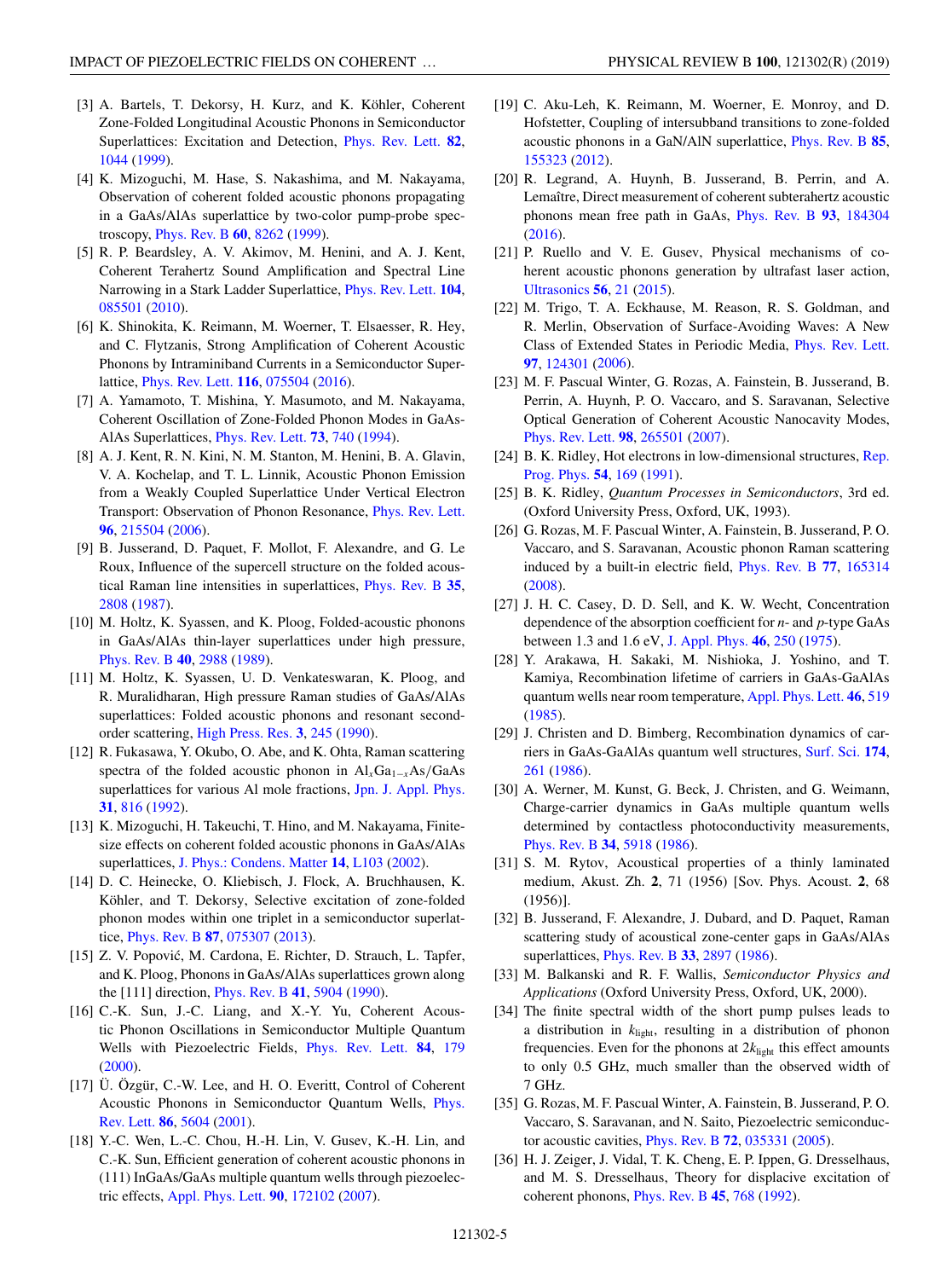- <span id="page-4-0"></span>[3] A. Bartels, T. Dekorsy, H. Kurz, and K. Köhler, Coherent Zone-Folded Longitudinal Acoustic Phonons in Semiconductor Superlattices: Excitation and Detection, [Phys. Rev. Lett.](https://doi.org/10.1103/PhysRevLett.82.1044) **[82](https://doi.org/10.1103/PhysRevLett.82.1044)**, [1044](https://doi.org/10.1103/PhysRevLett.82.1044) [\(1999\)](https://doi.org/10.1103/PhysRevLett.82.1044).
- [4] K. Mizoguchi, M. Hase, S. Nakashima, and M. Nakayama, Observation of coherent folded acoustic phonons propagating in a GaAs/AlAs superlattice by two-color pump-probe spectroscopy, [Phys. Rev. B](https://doi.org/10.1103/PhysRevB.60.8262) **[60](https://doi.org/10.1103/PhysRevB.60.8262)**, [8262](https://doi.org/10.1103/PhysRevB.60.8262) [\(1999\)](https://doi.org/10.1103/PhysRevB.60.8262).
- [5] R. P. Beardsley, A. V. Akimov, M. Henini, and A. J. Kent, Coherent Terahertz Sound Amplification and Spectral Line Narrowing in a Stark Ladder Superlattice, [Phys. Rev. Lett.](https://doi.org/10.1103/PhysRevLett.104.085501) **[104](https://doi.org/10.1103/PhysRevLett.104.085501)**, [085501](https://doi.org/10.1103/PhysRevLett.104.085501) [\(2010\)](https://doi.org/10.1103/PhysRevLett.104.085501).
- [6] K. Shinokita, K. Reimann, M. Woerner, T. Elsaesser, R. Hey, and C. Flytzanis, Strong Amplification of Coherent Acoustic Phonons by Intraminiband Currents in a Semiconductor Superlattice, [Phys. Rev. Lett.](https://doi.org/10.1103/PhysRevLett.116.075504) **[116](https://doi.org/10.1103/PhysRevLett.116.075504)**, [075504](https://doi.org/10.1103/PhysRevLett.116.075504) [\(2016\)](https://doi.org/10.1103/PhysRevLett.116.075504).
- [7] A. Yamamoto, T. Mishina, Y. Masumoto, and M. Nakayama, Coherent Oscillation of Zone-Folded Phonon Modes in GaAs-AlAs Superlattices, [Phys. Rev. Lett.](https://doi.org/10.1103/PhysRevLett.73.740) **[73](https://doi.org/10.1103/PhysRevLett.73.740)**, [740](https://doi.org/10.1103/PhysRevLett.73.740) [\(1994\)](https://doi.org/10.1103/PhysRevLett.73.740).
- [8] A. J. Kent, R. N. Kini, N. M. Stanton, M. Henini, B. A. Glavin, V. A. Kochelap, and T. L. Linnik, Acoustic Phonon Emission from a Weakly Coupled Superlattice Under Vertical Electron Transport: Observation of Phonon Resonance, [Phys. Rev. Lett.](https://doi.org/10.1103/PhysRevLett.96.215504) **[96](https://doi.org/10.1103/PhysRevLett.96.215504)**, [215504](https://doi.org/10.1103/PhysRevLett.96.215504) [\(2006\)](https://doi.org/10.1103/PhysRevLett.96.215504).
- [9] B. Jusserand, D. Paquet, F. Mollot, F. Alexandre, and G. Le Roux, Influence of the supercell structure on the folded acoustical Raman line intensities in superlattices, [Phys. Rev. B](https://doi.org/10.1103/PhysRevB.35.2808) **[35](https://doi.org/10.1103/PhysRevB.35.2808)**, [2808](https://doi.org/10.1103/PhysRevB.35.2808) [\(1987\)](https://doi.org/10.1103/PhysRevB.35.2808).
- [10] M. Holtz, K. Syassen, and K. Ploog, Folded-acoustic phonons in GaAs/AlAs thin-layer superlattices under high pressure, [Phys. Rev. B](https://doi.org/10.1103/PhysRevB.40.2988) **[40](https://doi.org/10.1103/PhysRevB.40.2988)**, [2988](https://doi.org/10.1103/PhysRevB.40.2988) [\(1989\)](https://doi.org/10.1103/PhysRevB.40.2988).
- [11] M. Holtz, K. Syassen, U. D. Venkateswaran, K. Ploog, and R. Muralidharan, High pressure Raman studies of GaAs/AlAs superlattices: Folded acoustic phonons and resonant secondorder scattering, [High Press. Res.](https://doi.org/10.1080/08957959008246087) **[3](https://doi.org/10.1080/08957959008246087)**, [245](https://doi.org/10.1080/08957959008246087) [\(1990\)](https://doi.org/10.1080/08957959008246087).
- [12] R. Fukasawa, Y. Okubo, O. Abe, and K. Ohta, Raman scattering spectra of the folded acoustic phonon in Al<sub>x</sub>Ga<sub>1−*x*</sub>As/GaAs superlattices for various Al mole fractions, [Jpn. J. Appl. Phys.](https://doi.org/10.1143/JJAP.31.816) **[31](https://doi.org/10.1143/JJAP.31.816)**, [816](https://doi.org/10.1143/JJAP.31.816) [\(1992\)](https://doi.org/10.1143/JJAP.31.816).
- [13] K. Mizoguchi, H. Takeuchi, T. Hino, and M. Nakayama, Finitesize effects on coherent folded acoustic phonons in GaAs/AlAs superlattices, [J. Phys.: Condens. Matter](https://doi.org/10.1088/0953-8984/14/4/106) **[14](https://doi.org/10.1088/0953-8984/14/4/106)**, [L103](https://doi.org/10.1088/0953-8984/14/4/106) [\(2002\)](https://doi.org/10.1088/0953-8984/14/4/106).
- [14] D. C. Heinecke, O. Kliebisch, J. Flock, A. Bruchhausen, K. Köhler, and T. Dekorsy, Selective excitation of zone-folded phonon modes within one triplet in a semiconductor superlattice, [Phys. Rev. B](https://doi.org/10.1103/PhysRevB.87.075307) **[87](https://doi.org/10.1103/PhysRevB.87.075307)**, [075307](https://doi.org/10.1103/PhysRevB.87.075307) [\(2013\)](https://doi.org/10.1103/PhysRevB.87.075307).
- [15] Z. V. Popović, M. Cardona, E. Richter, D. Strauch, L. Tapfer, and K. Ploog, Phonons in GaAs/AlAs superlattices grown along the [111] direction, [Phys. Rev. B](https://doi.org/10.1103/PhysRevB.41.5904) **[41](https://doi.org/10.1103/PhysRevB.41.5904)**, [5904](https://doi.org/10.1103/PhysRevB.41.5904) [\(1990\)](https://doi.org/10.1103/PhysRevB.41.5904).
- [16] C.-K. Sun, J.-C. Liang, and X.-Y. Yu, Coherent Acoustic Phonon Oscillations in Semiconductor Multiple Quantum Wells with Piezoelectric Fields, [Phys. Rev. Lett.](https://doi.org/10.1103/PhysRevLett.84.179) **[84](https://doi.org/10.1103/PhysRevLett.84.179)**, [179](https://doi.org/10.1103/PhysRevLett.84.179) [\(2000\)](https://doi.org/10.1103/PhysRevLett.84.179).
- [17] Ü. Özgür, C.-W. Lee, and H. O. Everitt, Control of Coherent [Acoustic Phonons in Semiconductor Quantum Wells,](https://doi.org/10.1103/PhysRevLett.86.5604) Phys. Rev. Lett. **[86](https://doi.org/10.1103/PhysRevLett.86.5604)**, [5604](https://doi.org/10.1103/PhysRevLett.86.5604) [\(2001\)](https://doi.org/10.1103/PhysRevLett.86.5604).
- [18] Y.-C. Wen, L.-C. Chou, H.-H. Lin, V. Gusev, K.-H. Lin, and C.-K. Sun, Efficient generation of coherent acoustic phonons in (111) InGaAs/GaAs multiple quantum wells through piezoelectric effects, [Appl. Phys. Lett.](https://doi.org/10.1063/1.2731441) **[90](https://doi.org/10.1063/1.2731441)**, [172102](https://doi.org/10.1063/1.2731441) [\(2007\)](https://doi.org/10.1063/1.2731441).
- [19] C. Aku-Leh, K. Reimann, M. Woerner, E. Monroy, and D. Hofstetter, Coupling of intersubband transitions to zone-folded acoustic phonons in a GaN/AlN superlattice, [Phys. Rev. B](https://doi.org/10.1103/PhysRevB.85.155323) **[85](https://doi.org/10.1103/PhysRevB.85.155323)**, [155323](https://doi.org/10.1103/PhysRevB.85.155323) [\(2012\)](https://doi.org/10.1103/PhysRevB.85.155323).
- [20] R. Legrand, A. Huynh, B. Jusserand, B. Perrin, and A. Lemaître, Direct measurement of coherent subterahertz acoustic phonons mean free path in GaAs, [Phys. Rev. B](https://doi.org/10.1103/PhysRevB.93.184304) **[93](https://doi.org/10.1103/PhysRevB.93.184304)**, [184304](https://doi.org/10.1103/PhysRevB.93.184304) [\(2016\)](https://doi.org/10.1103/PhysRevB.93.184304).
- [21] P. Ruello and V. E. Gusev, Physical mechanisms of coherent acoustic phonons generation by ultrafast laser action, [Ultrasonics](https://doi.org/10.1016/j.ultras.2014.06.004) **[56](https://doi.org/10.1016/j.ultras.2014.06.004)**, [21](https://doi.org/10.1016/j.ultras.2014.06.004) [\(2015\)](https://doi.org/10.1016/j.ultras.2014.06.004).
- [22] M. Trigo, T. A. Eckhause, M. Reason, R. S. Goldman, and R. Merlin, Observation of Surface-Avoiding Waves: A New Class of Extended States in Periodic Media, [Phys. Rev. Lett.](https://doi.org/10.1103/PhysRevLett.97.124301) **[97](https://doi.org/10.1103/PhysRevLett.97.124301)**, [124301](https://doi.org/10.1103/PhysRevLett.97.124301) [\(2006\)](https://doi.org/10.1103/PhysRevLett.97.124301).
- [23] M. F. Pascual Winter, G. Rozas, A. Fainstein, B. Jusserand, B. Perrin, A. Huynh, P. O. Vaccaro, and S. Saravanan, Selective Optical Generation of Coherent Acoustic Nanocavity Modes, [Phys. Rev. Lett.](https://doi.org/10.1103/PhysRevLett.98.265501) **[98](https://doi.org/10.1103/PhysRevLett.98.265501)**, [265501](https://doi.org/10.1103/PhysRevLett.98.265501) [\(2007\)](https://doi.org/10.1103/PhysRevLett.98.265501).
- [24] [B. K. Ridley, Hot electrons in low-dimensional structures,](https://doi.org/10.1088/0034-4885/54/2/001) Rep. Prog. Phys. **[54](https://doi.org/10.1088/0034-4885/54/2/001)**, [169](https://doi.org/10.1088/0034-4885/54/2/001) [\(1991\)](https://doi.org/10.1088/0034-4885/54/2/001).
- [25] B. K. Ridley, *Quantum Processes in Semiconductors*, 3rd ed. (Oxford University Press, Oxford, UK, 1993).
- [26] G. Rozas, M. F. Pascual Winter, A. Fainstein, B. Jusserand, P. O. Vaccaro, and S. Saravanan, Acoustic phonon Raman scattering induced by a built-in electric field, [Phys. Rev. B](https://doi.org/10.1103/PhysRevB.77.165314) **[77](https://doi.org/10.1103/PhysRevB.77.165314)**, [165314](https://doi.org/10.1103/PhysRevB.77.165314) [\(2008\)](https://doi.org/10.1103/PhysRevB.77.165314).
- [27] J. H. C. Casey, D. D. Sell, and K. W. Wecht, Concentration dependence of the absorption coefficient for *n*- and *p*-type GaAs between 1.3 and 1.6 eV, [J. Appl. Phys.](https://doi.org/10.1063/1.321330) **[46](https://doi.org/10.1063/1.321330)**, [250](https://doi.org/10.1063/1.321330) [\(1975\)](https://doi.org/10.1063/1.321330).
- [28] Y. Arakawa, H. Sakaki, M. Nishioka, J. Yoshino, and T. Kamiya, Recombination lifetime of carriers in GaAs-GaAlAs quantum wells near room temperature, [Appl. Phys. Lett.](https://doi.org/10.1063/1.95578) **[46](https://doi.org/10.1063/1.95578)**, [519](https://doi.org/10.1063/1.95578) [\(1985\)](https://doi.org/10.1063/1.95578).
- [29] J. Christen and D. Bimberg, Recombination dynamics of carriers in GaAs-GaAlAs quantum well structures, [Surf. Sci.](https://doi.org/10.1016/0039-6028(86)90419-X) **[174](https://doi.org/10.1016/0039-6028(86)90419-X)**, [261](https://doi.org/10.1016/0039-6028(86)90419-X) [\(1986\)](https://doi.org/10.1016/0039-6028(86)90419-X).
- [30] A. Werner, M. Kunst, G. Beck, J. Christen, and G. Weimann, Charge-carrier dynamics in GaAs multiple quantum wells determined by contactless photoconductivity measurements, [Phys. Rev. B](https://doi.org/10.1103/PhysRevB.34.5918) **[34](https://doi.org/10.1103/PhysRevB.34.5918)**, [5918](https://doi.org/10.1103/PhysRevB.34.5918) [\(1986\)](https://doi.org/10.1103/PhysRevB.34.5918).
- [31] S. M. Rytov, Acoustical properties of a thinly laminated medium, Akust. Zh. **2**, 71 (1956) [Sov. Phys. Acoust. **2**, 68 (1956)].
- [32] B. Jusserand, F. Alexandre, J. Dubard, and D. Paquet, Raman scattering study of acoustical zone-center gaps in GaAs/AlAs superlattices, [Phys. Rev. B](https://doi.org/10.1103/PhysRevB.33.2897) **[33](https://doi.org/10.1103/PhysRevB.33.2897)**, [2897](https://doi.org/10.1103/PhysRevB.33.2897) [\(1986\)](https://doi.org/10.1103/PhysRevB.33.2897).
- [33] M. Balkanski and R. F. Wallis, *Semiconductor Physics and Applications* (Oxford University Press, Oxford, UK, 2000).
- [34] The finite spectral width of the short pump pulses leads to a distribution in *k*light, resulting in a distribution of phonon frequencies. Even for the phonons at 2*k*light this effect amounts to only 0.5 GHz, much smaller than the observed width of 7 GHz.
- [35] G. Rozas, M. F. Pascual Winter, A. Fainstein, B. Jusserand, P. O. Vaccaro, S. Saravanan, and N. Saito, Piezoelectric semiconductor acoustic cavities, [Phys. Rev. B](https://doi.org/10.1103/PhysRevB.72.035331) **[72](https://doi.org/10.1103/PhysRevB.72.035331)**, [035331](https://doi.org/10.1103/PhysRevB.72.035331) [\(2005\)](https://doi.org/10.1103/PhysRevB.72.035331).
- [36] H. J. Zeiger, J. Vidal, T. K. Cheng, E. P. Ippen, G. Dresselhaus, and M. S. Dresselhaus, Theory for displacive excitation of coherent phonons, [Phys. Rev. B](https://doi.org/10.1103/PhysRevB.45.768) **[45](https://doi.org/10.1103/PhysRevB.45.768)**, [768](https://doi.org/10.1103/PhysRevB.45.768) [\(1992\)](https://doi.org/10.1103/PhysRevB.45.768).